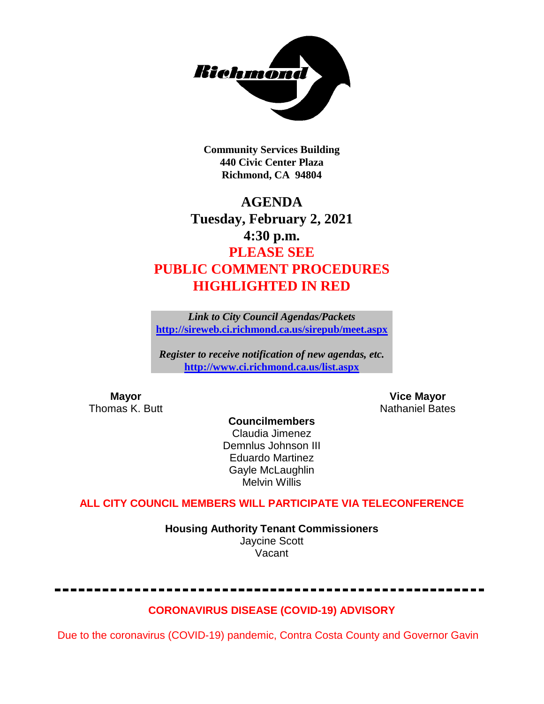

**Community Services Building 440 Civic Center Plaza Richmond, CA 94804**

## **AGENDA Tuesday, February 2, 2021 4:30 p.m. PLEASE SEE PUBLIC COMMENT PROCEDURES HIGHLIGHTED IN RED**

*Link to City Council Agendas/Packets* **<http://sireweb.ci.richmond.ca.us/sirepub/meet.aspx>**

*Register to receive notification of new agendas, etc.* **<http://www.ci.richmond.ca.us/list.aspx>**

**Mayor Mayor Wice Mayor Vice Mayor Vice Mayor Vice Mayor Vice Mayor Vice Mayor Vice Mayor Vice Mayor Vice Mayor Vice Mayor Vice Mayor Vice Mayor Vice Mayor Vice Mayor Vice Mayor Vice Mayor** Nathaniel Bates

#### **Councilmembers** Claudia Jimenez Demnlus Johnson III Eduardo Martinez Gayle McLaughlin Melvin Willis

#### **ALL CITY COUNCIL MEMBERS WILL PARTICIPATE VIA TELECONFERENCE**

**Housing Authority Tenant Commissioners** Jaycine Scott

Vacant

#### **CORONAVIRUS DISEASE (COVID-19) ADVISORY**

Due to the coronavirus (COVID-19) pandemic, Contra Costa County and Governor Gavin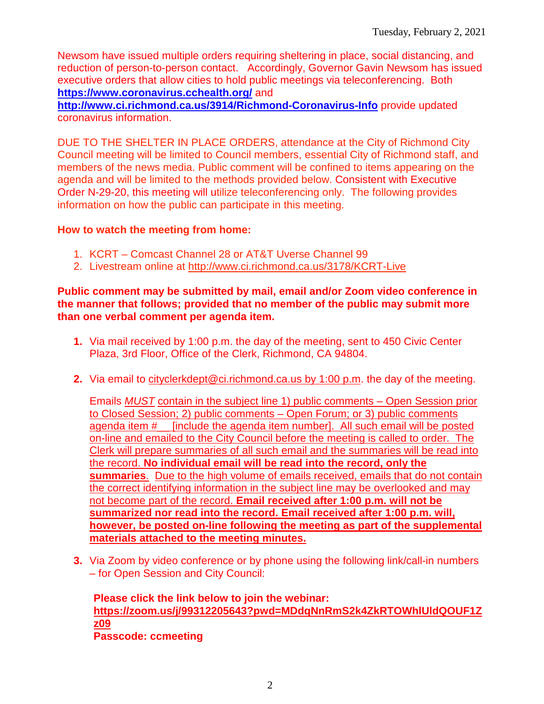Newsom have issued multiple orders requiring sheltering in place, social distancing, and reduction of person-to-person contact. Accordingly, Governor Gavin Newsom has issued executive orders that allow cities to hold public meetings via teleconferencing. Both **<https://www.coronavirus.cchealth.org/>** and

**<http://www.ci.richmond.ca.us/3914/Richmond-Coronavirus-Info>** provide updated coronavirus information.

DUE TO THE SHELTER IN PLACE ORDERS, attendance at the City of Richmond City Council meeting will be limited to Council members, essential City of Richmond staff, and members of the news media. Public comment will be confined to items appearing on the agenda and will be limited to the methods provided below. Consistent with Executive Order N-29-20, this meeting will utilize teleconferencing only. The following provides information on how the public can participate in this meeting.

#### **How to watch the meeting from home:**

- 1. KCRT Comcast Channel 28 or AT&T Uverse Channel 99
- 2. Livestream online at<http://www.ci.richmond.ca.us/3178/KCRT-Live>

#### **Public comment may be submitted by mail, email and/or Zoom video conference in the manner that follows; provided that no member of the public may submit more than one verbal comment per agenda item.**

- **1.** Via mail received by 1:00 p.m. the day of the meeting, sent to 450 Civic Center Plaza, 3rd Floor, Office of the Clerk, Richmond, CA 94804.
- **2.** Via email to [cityclerkdept@ci.richmond.ca.us](mailto:cityclerkdept@ci.richmond.ca.us) by 1:00 p.m. the day of the meeting.

Emails *MUST* contain in the subject line 1) public comments – Open Session prior to Closed Session; 2) public comments – Open Forum; or 3) public comments agenda item #\_\_ [include the agenda item number]. All such email will be posted on-line and emailed to the City Council before the meeting is called to order. The Clerk will prepare summaries of all such email and the summaries will be read into the record. **No individual email will be read into the record, only the summaries**. Due to the high volume of emails received, emails that do not contain the correct identifying information in the subject line may be overlooked and may not become part of the record. **Email received after 1:00 p.m. will not be summarized nor read into the record. Email received after 1:00 p.m. will, however, be posted on-line following the meeting as part of the supplemental materials attached to the meeting minutes.**

**3.** Via Zoom by video conference or by phone using the following link/call-in numbers – for Open Session and City Council:

**Please click the link below to join the webinar: [https://zoom.us/j/99312205643?pwd=MDdqNnRmS2k4ZkRTOWhlUldQOUF1Z](https://zoom.us/j/99312205643?pwd=MDdqNnRmS2k4ZkRTOWhlUldQOUF1Zz09) [z09](https://zoom.us/j/99312205643?pwd=MDdqNnRmS2k4ZkRTOWhlUldQOUF1Zz09) Passcode: ccmeeting**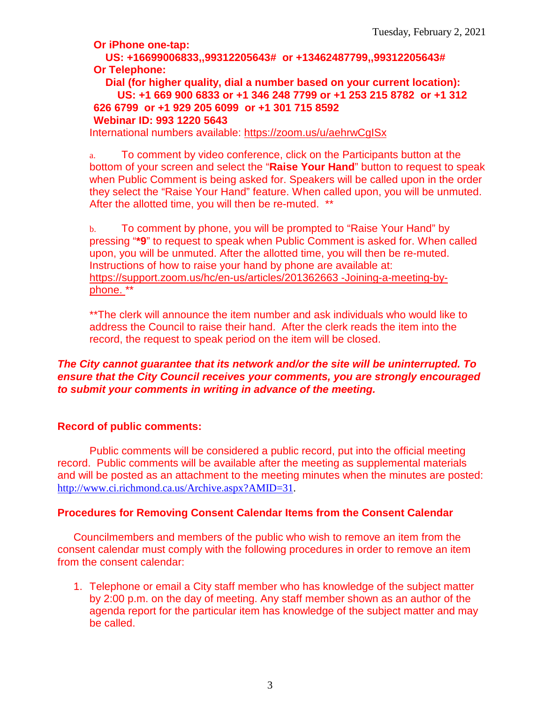**Or iPhone one-tap:**

**US: +16699006833,,99312205643# or +13462487799,,99312205643# Or Telephone:**

**Dial (for higher quality, dial a number based on your current location): US: +1 669 900 6833 or +1 346 248 7799 or +1 253 215 8782 or +1 312 626 6799 or +1 929 205 6099 or +1 301 715 8592 Webinar ID: 993 1220 5643**

International numbers available:<https://zoom.us/u/aehrwCgISx>

a. To comment by video conference, click on the Participants button at the bottom of your screen and select the "**Raise Your Hand**" button to request to speak when Public Comment is being asked for. Speakers will be called upon in the order they select the "Raise Your Hand" feature. When called upon, you will be unmuted. After the allotted time, you will then be re-muted. \*\*

b. To comment by phone, you will be prompted to "Raise Your Hand" by pressing "**\*9**" to request to speak when Public Comment is asked for. When called upon, you will be unmuted. After the allotted time, you will then be re-muted. Instructions of how to raise your hand by phone are available at: [https://support.zoom.us/hc/en-us/articles/201362663 -Joining-a-meeting-by](https://support.zoom.us/hc/en-us/articles/201362663)[phone.](https://support.zoom.us/hc/en-us/articles/201362663) \*\*

\*\*The clerk will announce the item number and ask individuals who would like to address the Council to raise their hand. After the clerk reads the item into the record, the request to speak period on the item will be closed.

#### *The City cannot guarantee that its network and/or the site will be uninterrupted. To ensure that the City Council receives your comments, you are strongly encouraged to submit your comments in writing in advance of the meeting.*

#### **Record of public comments:**

Public comments will be considered a public record, put into the official meeting record. Public comments will be available after the meeting as supplemental materials and will be posted as an attachment to the meeting minutes when the minutes are posted: [http://www.ci.richmond.ca.us/Archive.aspx?AMID=31.](http://www.ci.richmond.ca.us/Archive.aspx?AMID=31)

#### **Procedures for Removing Consent Calendar Items from the Consent Calendar**

Councilmembers and members of the public who wish to remove an item from the consent calendar must comply with the following procedures in order to remove an item from the consent calendar:

1. Telephone or email a City staff member who has knowledge of the subject matter by 2:00 p.m. on the day of meeting. Any staff member shown as an author of the agenda report for the particular item has knowledge of the subject matter and may be called.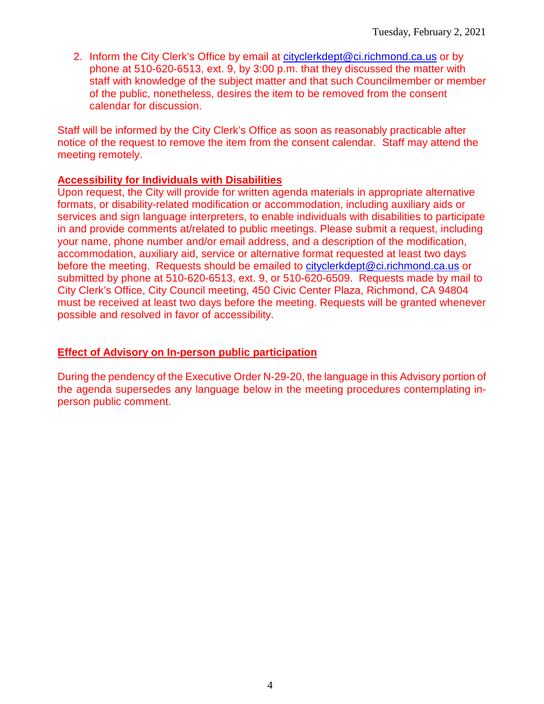2. Inform the City Clerk's Office by email at [cityclerkdept@ci.richmond.ca.us](mailto:cityclerkdept@ci.richmond.ca.us) or by phone at 510-620-6513, ext. 9, by 3:00 p.m. that they discussed the matter with staff with knowledge of the subject matter and that such Councilmember or member of the public, nonetheless, desires the item to be removed from the consent calendar for discussion.

Staff will be informed by the City Clerk's Office as soon as reasonably practicable after notice of the request to remove the item from the consent calendar. Staff may attend the meeting remotely.

#### **Accessibility for Individuals with Disabilities**

Upon request, the City will provide for written agenda materials in appropriate alternative formats, or disability-related modification or accommodation, including auxiliary aids or services and sign language interpreters, to enable individuals with disabilities to participate in and provide comments at/related to public meetings. Please submit a request, including your name, phone number and/or email address, and a description of the modification, accommodation, auxiliary aid, service or alternative format requested at least two days before the meeting. Requests should be emailed to [cityclerkdept@ci.richmond.ca.us](mailto:cityclerkdept@ci.richmond.ca.us) or submitted by phone at 510-620-6513, ext. 9, or 510-620-6509. Requests made by mail to City Clerk's Office, City Council meeting, 450 Civic Center Plaza, Richmond, CA 94804 must be received at least two days before the meeting. Requests will be granted whenever possible and resolved in favor of accessibility.

#### **Effect of Advisory on In-person public participation**

During the pendency of the Executive Order N-29-20, the language in this Advisory portion of the agenda supersedes any language below in the meeting procedures contemplating inperson public comment.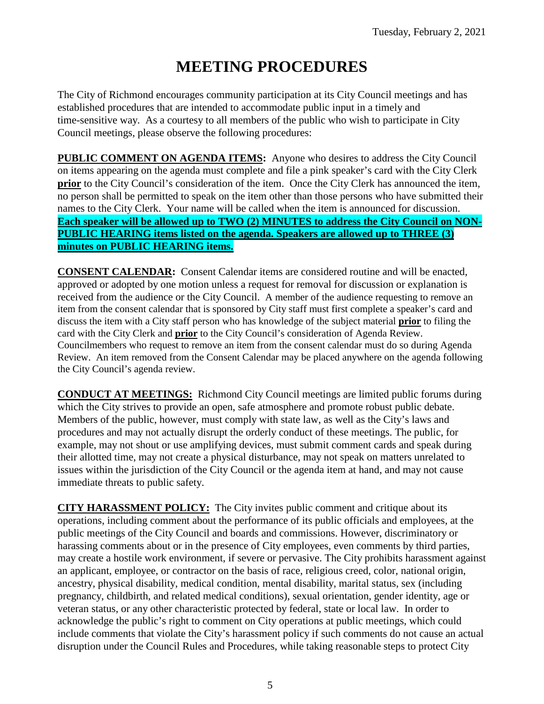# **MEETING PROCEDURES**

The City of Richmond encourages community participation at its City Council meetings and has established procedures that are intended to accommodate public input in a timely and time-sensitive way. As a courtesy to all members of the public who wish to participate in City Council meetings, please observe the following procedures:

**PUBLIC COMMENT ON AGENDA ITEMS:** Anyone who desires to address the City Council on items appearing on the agenda must complete and file a pink speaker's card with the City Clerk **prior** to the City Council's consideration of the item. Once the City Clerk has announced the item, no person shall be permitted to speak on the item other than those persons who have submitted their names to the City Clerk. Your name will be called when the item is announced for discussion. **Each speaker will be allowed up to TWO (2) MINUTES to address the City Council on NON-PUBLIC HEARING items listed on the agenda. Speakers are allowed up to THREE (3) minutes on PUBLIC HEARING items.**

**CONSENT CALENDAR:** Consent Calendar items are considered routine and will be enacted, approved or adopted by one motion unless a request for removal for discussion or explanation is received from the audience or the City Council. A member of the audience requesting to remove an item from the consent calendar that is sponsored by City staff must first complete a speaker's card and discuss the item with a City staff person who has knowledge of the subject material **prior** to filing the card with the City Clerk and **prior** to the City Council's consideration of Agenda Review. Councilmembers who request to remove an item from the consent calendar must do so during Agenda Review. An item removed from the Consent Calendar may be placed anywhere on the agenda following the City Council's agenda review.

**CONDUCT AT MEETINGS:** Richmond City Council meetings are limited public forums during which the City strives to provide an open, safe atmosphere and promote robust public debate. Members of the public, however, must comply with state law, as well as the City's laws and procedures and may not actually disrupt the orderly conduct of these meetings. The public, for example, may not shout or use amplifying devices, must submit comment cards and speak during their allotted time, may not create a physical disturbance, may not speak on matters unrelated to issues within the jurisdiction of the City Council or the agenda item at hand, and may not cause immediate threats to public safety.

**CITY HARASSMENT POLICY:** The City invites public comment and critique about its operations, including comment about the performance of its public officials and employees, at the public meetings of the City Council and boards and commissions. However, discriminatory or harassing comments about or in the presence of City employees, even comments by third parties, may create a hostile work environment, if severe or pervasive. The City prohibits harassment against an applicant, employee, or contractor on the basis of race, religious creed, color, national origin, ancestry, physical disability, medical condition, mental disability, marital status, sex (including pregnancy, childbirth, and related medical conditions), sexual orientation, gender identity, age or veteran status, or any other characteristic protected by federal, state or local law. In order to acknowledge the public's right to comment on City operations at public meetings, which could include comments that violate the City's harassment policy if such comments do not cause an actual disruption under the Council Rules and Procedures, while taking reasonable steps to protect City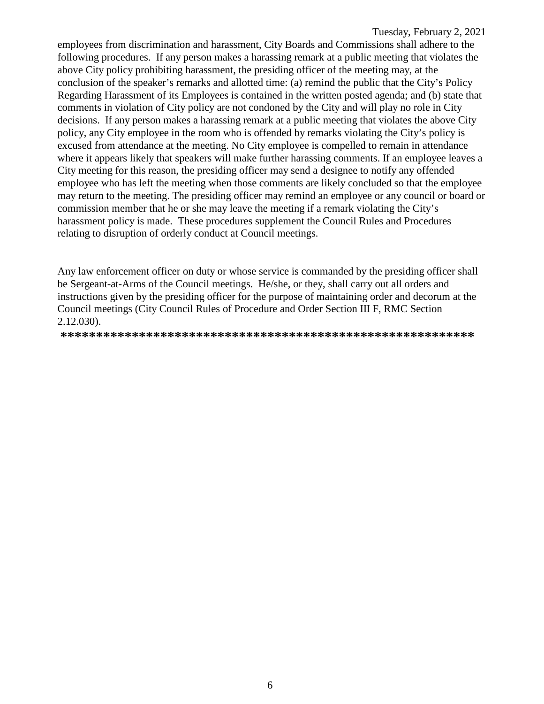employees from discrimination and harassment, City Boards and Commissions shall adhere to the following procedures. If any person makes a harassing remark at a public meeting that violates the above City policy prohibiting harassment, the presiding officer of the meeting may, at the conclusion of the speaker's remarks and allotted time: (a) remind the public that the City's Policy Regarding Harassment of its Employees is contained in the written posted agenda; and (b) state that comments in violation of City policy are not condoned by the City and will play no role in City decisions. If any person makes a harassing remark at a public meeting that violates the above City policy, any City employee in the room who is offended by remarks violating the City's policy is excused from attendance at the meeting. No City employee is compelled to remain in attendance where it appears likely that speakers will make further harassing comments. If an employee leaves a City meeting for this reason, the presiding officer may send a designee to notify any offended employee who has left the meeting when those comments are likely concluded so that the employee may return to the meeting. The presiding officer may remind an employee or any council or board or commission member that he or she may leave the meeting if a remark violating the City's harassment policy is made. These procedures supplement the Council Rules and Procedures relating to disruption of orderly conduct at Council meetings.

Any law enforcement officer on duty or whose service is commanded by the presiding officer shall be Sergeant-at-Arms of the Council meetings. He/she, or they, shall carry out all orders and instructions given by the presiding officer for the purpose of maintaining order and decorum at the Council meetings (City Council Rules of Procedure and Order Section III F, RMC Section 2.12.030).

**\*\*\*\*\*\*\*\*\*\*\*\*\*\*\*\*\*\*\*\*\*\*\*\*\*\*\*\*\*\*\*\*\*\*\*\*\*\*\*\*\*\*\*\*\*\*\*\*\*\*\*\*\*\*\*\*\*\***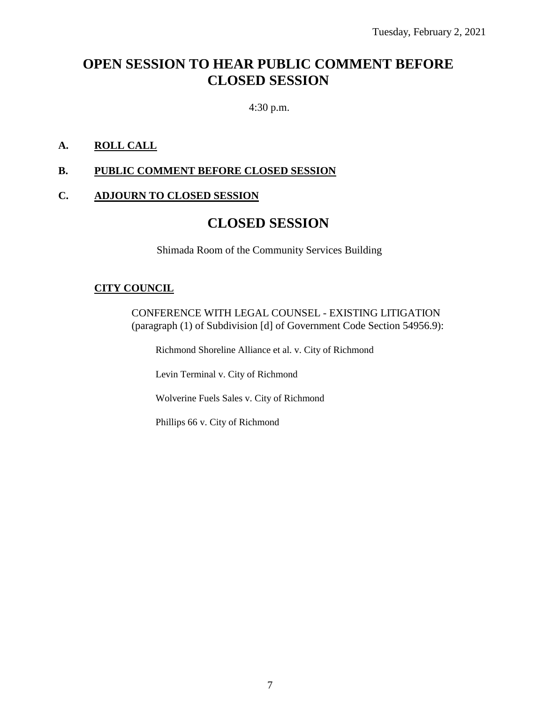## **OPEN SESSION TO HEAR PUBLIC COMMENT BEFORE CLOSED SESSION**

4:30 p.m.

#### **A. ROLL CALL**

#### **B. PUBLIC COMMENT BEFORE CLOSED SESSION**

#### **C. ADJOURN TO CLOSED SESSION**

## **CLOSED SESSION**

Shimada Room of the Community Services Building

#### **CITY COUNCIL**

CONFERENCE WITH LEGAL COUNSEL - EXISTING LITIGATION (paragraph (1) of Subdivision [d] of Government Code Section 54956.9):

Richmond Shoreline Alliance et al. v. City of Richmond

Levin Terminal v. City of Richmond

Wolverine Fuels Sales v. City of Richmond

Phillips 66 v. City of Richmond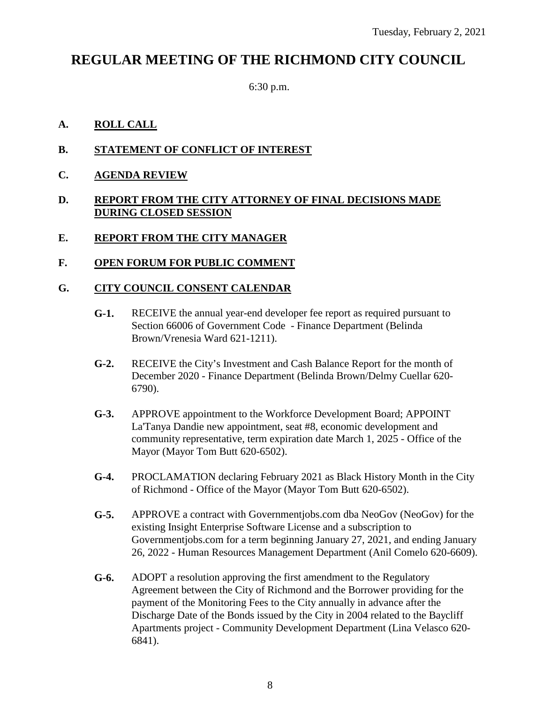## **REGULAR MEETING OF THE RICHMOND CITY COUNCIL**

6:30 p.m.

#### **A. ROLL CALL**

- **B. STATEMENT OF CONFLICT OF INTEREST**
- **C. AGENDA REVIEW**

#### **D. REPORT FROM THE CITY ATTORNEY OF FINAL DECISIONS MADE DURING CLOSED SESSION**

**E. REPORT FROM THE CITY MANAGER**

#### **F. OPEN FORUM FOR PUBLIC COMMENT**

#### **G. CITY COUNCIL CONSENT CALENDAR**

- **G-1.** RECEIVE the annual year-end developer fee report as required pursuant to Section 66006 of Government Code - Finance Department (Belinda Brown/Vrenesia Ward 621-1211).
- **G-2.** RECEIVE the City's Investment and Cash Balance Report for the month of December 2020 - Finance Department (Belinda Brown/Delmy Cuellar 620- 6790).
- **G-3.** APPROVE appointment to the Workforce Development Board; APPOINT La'Tanya Dandie new appointment, seat #8, economic development and community representative, term expiration date March 1, 2025 - Office of the Mayor (Mayor Tom Butt 620-6502).
- **G-4.** PROCLAMATION declaring February 2021 as Black History Month in the City of Richmond - Office of the Mayor (Mayor Tom Butt 620-6502).
- **G-5.** APPROVE a contract with Governmentjobs.com dba NeoGov (NeoGov) for the existing Insight Enterprise Software License and a subscription to Governmentjobs.com for a term beginning January 27, 2021, and ending January 26, 2022 - Human Resources Management Department (Anil Comelo 620-6609).
- **G-6.** ADOPT a resolution approving the first amendment to the Regulatory Agreement between the City of Richmond and the Borrower providing for the payment of the Monitoring Fees to the City annually in advance after the Discharge Date of the Bonds issued by the City in 2004 related to the Baycliff Apartments project - Community Development Department (Lina Velasco 620- 6841).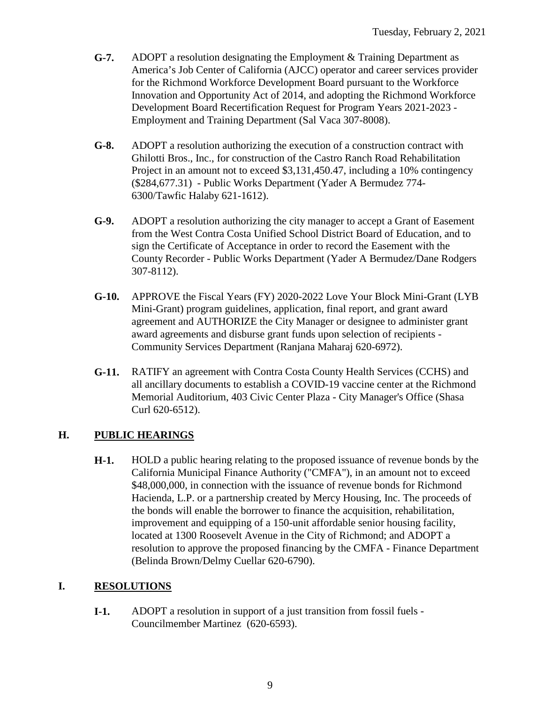- **G-7.** ADOPT a resolution designating the Employment & Training Department as America's Job Center of California (AJCC) operator and career services provider for the Richmond Workforce Development Board pursuant to the Workforce Innovation and Opportunity Act of 2014, and adopting the Richmond Workforce Development Board Recertification Request for Program Years 2021-2023 - Employment and Training Department (Sal Vaca 307-8008).
- **G-8.** ADOPT a resolution authorizing the execution of a construction contract with Ghilotti Bros., Inc., for construction of the Castro Ranch Road Rehabilitation Project in an amount not to exceed \$3,131,450.47, including a 10% contingency (\$284,677.31) - Public Works Department (Yader A Bermudez 774- 6300/Tawfic Halaby 621-1612).
- **G-9.** ADOPT a resolution authorizing the city manager to accept a Grant of Easement from the West Contra Costa Unified School District Board of Education, and to sign the Certificate of Acceptance in order to record the Easement with the County Recorder - Public Works Department (Yader A Bermudez/Dane Rodgers 307-8112).
- **G-10.** APPROVE the Fiscal Years (FY) 2020-2022 Love Your Block Mini-Grant (LYB Mini-Grant) program guidelines, application, final report, and grant award agreement and AUTHORIZE the City Manager or designee to administer grant award agreements and disburse grant funds upon selection of recipients - Community Services Department (Ranjana Maharaj 620-6972).
- **G-11.** RATIFY an agreement with Contra Costa County Health Services (CCHS) and all ancillary documents to establish a COVID-19 vaccine center at the Richmond Memorial Auditorium, 403 Civic Center Plaza - City Manager's Office (Shasa Curl 620-6512).

### **H. PUBLIC HEARINGS**

**H-1.** HOLD a public hearing relating to the proposed issuance of revenue bonds by the California Municipal Finance Authority ("CMFA"), in an amount not to exceed \$48,000,000, in connection with the issuance of revenue bonds for Richmond Hacienda, L.P. or a partnership created by Mercy Housing, Inc. The proceeds of the bonds will enable the borrower to finance the acquisition, rehabilitation, improvement and equipping of a 150-unit affordable senior housing facility, located at 1300 Roosevelt Avenue in the City of Richmond; and ADOPT a resolution to approve the proposed financing by the CMFA - Finance Department (Belinda Brown/Delmy Cuellar 620-6790).

### **I. RESOLUTIONS**

**I-1.** ADOPT a resolution in support of a just transition from fossil fuels - Councilmember Martinez (620-6593).